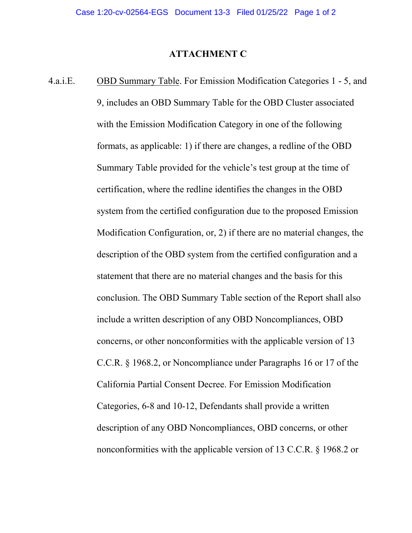## **ATTACHMENT C**

4.a.i.E. OBD Summary Table. For Emission Modification Categories 1 - 5, and 9, includes an OBD Summary Table for the OBD Cluster associated with the Emission Modification Category in one of the following formats, as applicable: 1) if there are changes, a redline of the OBD Summary Table provided for the vehicle's test group at the time of certification, where the redline identifies the changes in the OBD system from the certified configuration due to the proposed Emission Modification Configuration, or, 2) if there are no material changes, the description of the OBD system from the certified configuration and a statement that there are no material changes and the basis for this conclusion. The OBD Summary Table section of the Report shall also include a written description of any OBD Noncompliances, OBD concerns, or other nonconformities with the applicable version of 13 C.C.R. § 1968.2, or Noncompliance under Paragraphs 16 or 17 of the California Partial Consent Decree. For Emission Modification Categories, 6-8 and 10-12, Defendants shall provide a written description of any OBD Noncompliances, OBD concerns, or other nonconformities with the applicable version of 13 C.C.R. § 1968.2 or